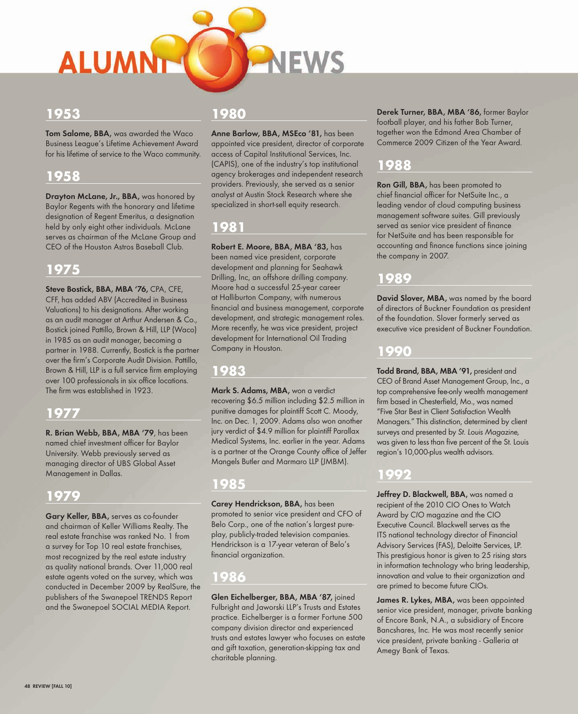

#### **1953**

**Tom Salome, BBA,** was awarded the Waco Business League's Lifetime Achievement Award for his lifetime of service to the Waco community.

#### **1958**

**Drayton McLane, Jr., BBA,** was honored by Baylor Regents with the honorary and lifetime designation of Regent Emeritus, a designation held by only eight other individuals. McLane serves as chairman of the McLane Group and CEO of the Houston Astros Baseball Club.

## **1975**

**Steve Bostick, BBA, MBA '76,** CPA, CFE, CFF, has added ABV (Accredited in Business Valuations) to his designations. After working as an audit manager at Arthur Andersen & Co., Bostick joined Pattillo, Brown & Hill, LLP (Waco) in 1985 as an audit manager, becoming a partner in 1988. Currently, Bostick is the partner over the firm's Corporate Audit Division. Pattillo, Brown & Hill, LLP is a full service firm employing over 100 professionals in six office locations. The firm was established in 1923.

#### **1977**

**R. Brian Webb, BBA, MBA '79**, has been named chief investment officer for Baylor University. Webb previously served as managing director of UBS Global Asset Management in Dallas.

#### **1979**

**Gary Keller, BBA,** serves as co-founder and chairman of Keller Williams Realty. The real estate franchise was ranked No. 1 from a survey for Top 10 real estate franchises, most recognized by the real estate industry as quality national brands. Over 11,000 real estate agents voted on the survey, which was conducted in December 2009 by RealSure, the publishers of the Swanepoel TRENDS Report and the Swanepoel SOCIAL MEDIA Report.

#### **1980**

**Anne Barlow, BBA, MSEco '81,** has been appointed vice president, director of corporate access of Capital Institutional Services, Inc. (CAPIS), one of the industry's top institutional agency brokerages and independent research providers. Previously, she served as a senior analyst at Austin Stock Research where she specialized in short-sell equity research.

# **1981**

**Robert E. Moore, BBA, MBA '83,** has been named vice president, corporate development and planning for Seahawk Drilling, Inc, an offshore drilling company. Moore had a successful 25-year career at Halliburton Company, with numerous financial and business management, corporate development, and strategic management roles. More recently, he was vice president, project development for International Oil Trading Company in Houston.

## **1983**

**Mark S. Adams, MBA,** won a verdict recovering \$6.5 million including \$2.5 million in punitive damages for plaintiff Scott C. Moody, Inc. on Dec. 1, 2009. Adams also won another jury verdict of \$4.9 million for plaintiff Parallax Medical Systems, Inc. earlier in the year. Adams is a partner at the Orange County office of Jeffer Mangels Butler and Marmaro LLP (JMBM).

#### **1985**

**Carey Hendrickson, BBA,** has been promoted to senior vice president and CFO of Belo Corp., one of the nation's largest pureplay, publicly-traded television companies. Hendrickson is a 17-year veteran of Belo's financial organization.

#### **1986**

**Glen Eichelberger, BBA, MBA '87,** joined Fulbright and Jaworski LLP's Trusts and Estates practice. Eichelberger is a former Fortune 500 company division director and experienced trusts and estates lawyer who focuses on estate and gift taxation, generation-skipping tax and charitable planning.

**Derek Turner, BBA, MBA '86,** former Baylor football player, and his father Bob Turner, together won the Edmond Area Chamber of Commerce 2009 Citizen of the Year Award.

### **1988**

**Ron Gill, BBA,** has been promoted to chief financial officer for NetSuite Inc., a leading vendor of cloud computing business management software suites. Gill previously served as senior vice president of finance for NetSuite and has been responsible for accounting and finance functions since joining the company in 2007.

#### **1989**

**David Slover, MBA,** was named by the board of directors of Buckner Foundation as president of the foundation. Slover formerly served as executive vice president of Buckner Foundation.

#### **1990**

**Todd Brand, BBA, MBA '91,** president and CEO of Brand Asset Management Group, Inc., a top comprehensive fee-only wealth management firm based in Chesterfield, Mo., was named "Five Star Best in Client Satisfaction Wealth Managers." This distinction, determined by client surveys and presented by St. Louis Magazine, was given to less than five percent of the St. Louis region's 10,000-plus wealth advisors.

## **1992**

**Jeffrey D. Blackwell, BBA,** was named a recipient of the 2010 CIO Ones to Watch Award by CIO magazine and the CIO Executive Council. Blackwell serves as the ITS national technology director of Financial Advisory Services (FAS), Deloitte Services, LP. This prestigious honor is given to 25 rising stars in information technology who bring leadership, innovation and value to their organization and are primed to become future CIOs.

James R. Lykes, MBA, was been appointed senior vice president, manager, private banking of Encore Bank, N.A., a subsidiary of Encore Bancshares, Inc. He was most recently senior vice president, private banking - Galleria at Amegy Bank of Texas.